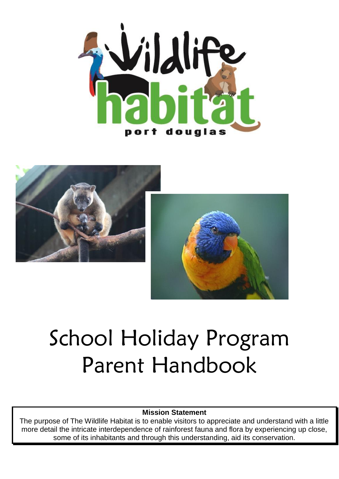





# School Holiday Program Parent Handbook

#### **Mission Statement**

The purpose of The Wildlife Habitat is to enable visitors to appreciate and understand with a little more detail the intricate interdependence of rainforest fauna and flora by experiencing up close, some of its inhabitants and through this understanding, aid its conservation.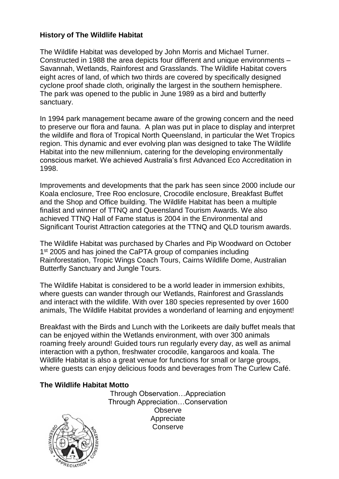#### **History of The Wildlife Habitat**

The Wildlife Habitat was developed by John Morris and Michael Turner. Constructed in 1988 the area depicts four different and unique environments – Savannah, Wetlands, Rainforest and Grasslands. The Wildlife Habitat covers eight acres of land, of which two thirds are covered by specifically designed cyclone proof shade cloth, originally the largest in the southern hemisphere. The park was opened to the public in June 1989 as a bird and butterfly sanctuary.

In 1994 park management became aware of the growing concern and the need to preserve our flora and fauna. A plan was put in place to display and interpret the wildlife and flora of Tropical North Queensland, in particular the Wet Tropics region. This dynamic and ever evolving plan was designed to take The Wildlife Habitat into the new millennium, catering for the developing environmentally conscious market. We achieved Australia's first Advanced Eco Accreditation in 1998.

Improvements and developments that the park has seen since 2000 include our Koala enclosure, Tree Roo enclosure, Crocodile enclosure, Breakfast Buffet and the Shop and Office building. The Wildlife Habitat has been a multiple finalist and winner of TTNQ and Queensland Tourism Awards. We also achieved TTNQ Hall of Fame status is 2004 in the Environmental and Significant Tourist Attraction categories at the TTNQ and QLD tourism awards.

The Wildlife Habitat was purchased by Charles and Pip Woodward on October 1<sup>st</sup> 2005 and has joined the CaPTA group of companies including Rainforestation, Tropic Wings Coach Tours, Cairns Wildlife Dome, Australian Butterfly Sanctuary and Jungle Tours.

The Wildlife Habitat is considered to be a world leader in immersion exhibits, where guests can wander through our Wetlands, Rainforest and Grasslands and interact with the wildlife. With over 180 species represented by over 1600 animals, The Wildlife Habitat provides a wonderland of learning and enjoyment!

Breakfast with the Birds and Lunch with the Lorikeets are daily buffet meals that can be enjoyed within the Wetlands environment, with over 300 animals roaming freely around! Guided tours run regularly every day, as well as animal interaction with a python, freshwater crocodile, kangaroos and koala. The Wildlife Habitat is also a great venue for functions for small or large groups, where guests can enjoy delicious foods and beverages from The Curlew Café.

#### **The Wildlife Habitat Motto**

Through Observation…Appreciation Through Appreciation…Conservation Observe Appreciate Conserve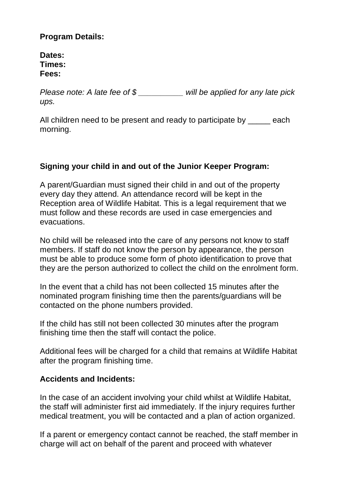## **Program Details:**

**Dates: Times: Fees:**

*Please note: A late fee of \$ \_\_\_\_\_\_\_\_\_\_ will be applied for any late pick ups.*

All children need to be present and ready to participate by \_\_\_\_\_ each morning.

## **Signing your child in and out of the Junior Keeper Program:**

A parent/Guardian must signed their child in and out of the property every day they attend. An attendance record will be kept in the Reception area of Wildlife Habitat. This is a legal requirement that we must follow and these records are used in case emergencies and evacuations.

No child will be released into the care of any persons not know to staff members. If staff do not know the person by appearance, the person must be able to produce some form of photo identification to prove that they are the person authorized to collect the child on the enrolment form.

In the event that a child has not been collected 15 minutes after the nominated program finishing time then the parents/guardians will be contacted on the phone numbers provided.

If the child has still not been collected 30 minutes after the program finishing time then the staff will contact the police.

Additional fees will be charged for a child that remains at Wildlife Habitat after the program finishing time.

#### **Accidents and Incidents:**

In the case of an accident involving your child whilst at Wildlife Habitat, the staff will administer first aid immediately. If the injury requires further medical treatment, you will be contacted and a plan of action organized.

If a parent or emergency contact cannot be reached, the staff member in charge will act on behalf of the parent and proceed with whatever